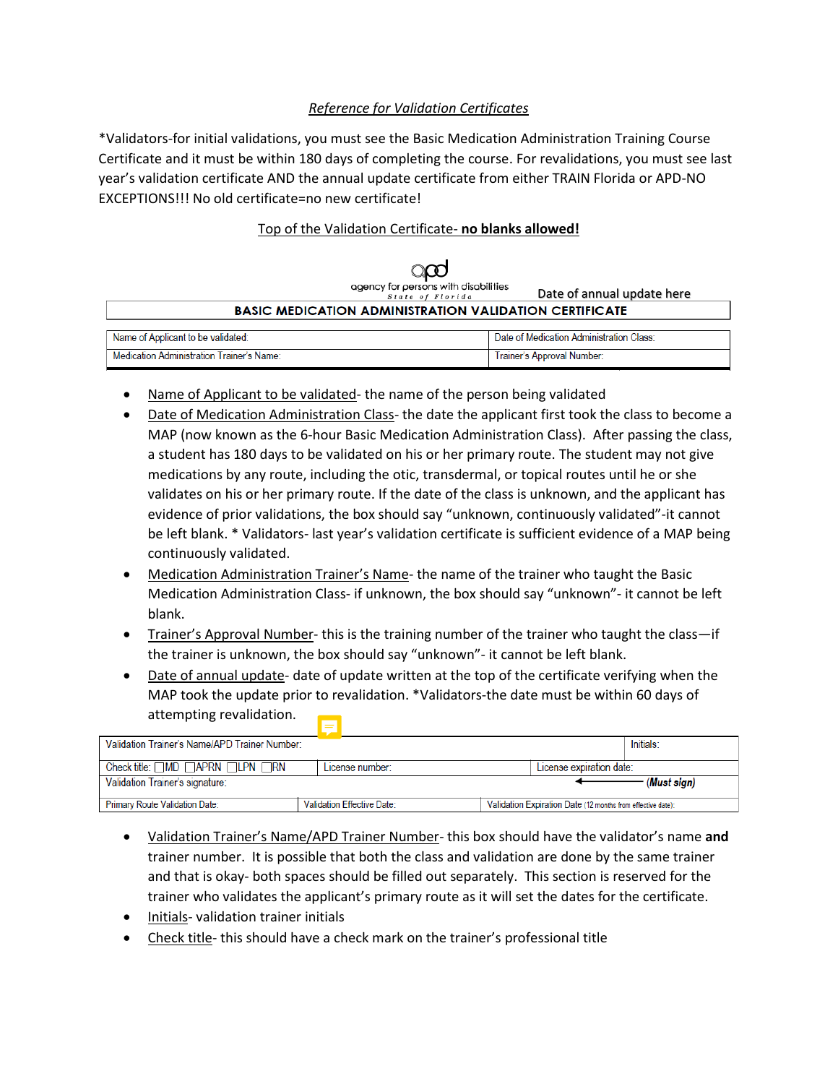# *Reference for Validation Certificates*

\*Validators-for initial validations, you must see the Basic Medication Administration Training Course Certificate and it must be within 180 days of completing the course. For revalidations, you must see last year's validation certificate AND the annual update certificate from either TRAIN Florida or APD-NO EXCEPTIONS!!! No old certificate=no new certificate!

## Top of the Validation Certificate- **no blanks allowed!**

|                                                               | agency for persons with disabilities<br>State of Florida | Date of annual update here |  |  |  |  |  |
|---------------------------------------------------------------|----------------------------------------------------------|----------------------------|--|--|--|--|--|
| <b>BASIC MEDICATION ADMINISTRATION VALIDATION CERTIFICATE</b> |                                                          |                            |  |  |  |  |  |
|                                                               |                                                          |                            |  |  |  |  |  |
| Name of Applicant to be validated:                            | Date of Medication Administration Class:                 |                            |  |  |  |  |  |
| Medication Administration Trainer's Name:                     | Trainer's Approval Number:                               |                            |  |  |  |  |  |

- Name of Applicant to be validated-the name of the person being validated
- Date of Medication Administration Class- the date the applicant first took the class to become a MAP (now known as the 6-hour Basic Medication Administration Class). After passing the class, a student has 180 days to be validated on his or her primary route. The student may not give medications by any route, including the otic, transdermal, or topical routes until he or she validates on his or her primary route. If the date of the class is unknown, and the applicant has evidence of prior validations, the box should say "unknown, continuously validated"-it cannot be left blank. \* Validators- last year's validation certificate is sufficient evidence of a MAP being continuously validated.
- Medication Administration Trainer's Name- the name of the trainer who taught the Basic Medication Administration Class- if unknown, the box should say "unknown"- it cannot be left blank.
- Trainer's Approval Number- this is the training number of the trainer who taught the class—if the trainer is unknown, the box should say "unknown"- it cannot be left blank.
- Date of annual update- date of update written at the top of the certificate verifying when the MAP took the update prior to revalidation. \*Validators-the date must be within 60 days of attempting revalidation.

| Initials:<br>Validation Trainer's Name/APD Trainer Number: |                            |                                                             |  |  |  |  |
|------------------------------------------------------------|----------------------------|-------------------------------------------------------------|--|--|--|--|
| Check title: $\Box$ MD $\Box$ APRN $\Box$ LPN $\Box$ RN    | License number:            | License expiration date:                                    |  |  |  |  |
| Validation Trainer's signature:<br>(Must sign)             |                            |                                                             |  |  |  |  |
| <b>Primary Route Validation Date:</b>                      | Validation Effective Date: | Validation Expiration Date (12 months from effective date): |  |  |  |  |

- Validation Trainer's Name/APD Trainer Number- this box should have the validator's name **and** trainer number. It is possible that both the class and validation are done by the same trainer and that is okay- both spaces should be filled out separately. This section is reserved for the trainer who validates the applicant's primary route as it will set the dates for the certificate.
- Initials- validation trainer initials
- Check title- this should have a check mark on the trainer's professional title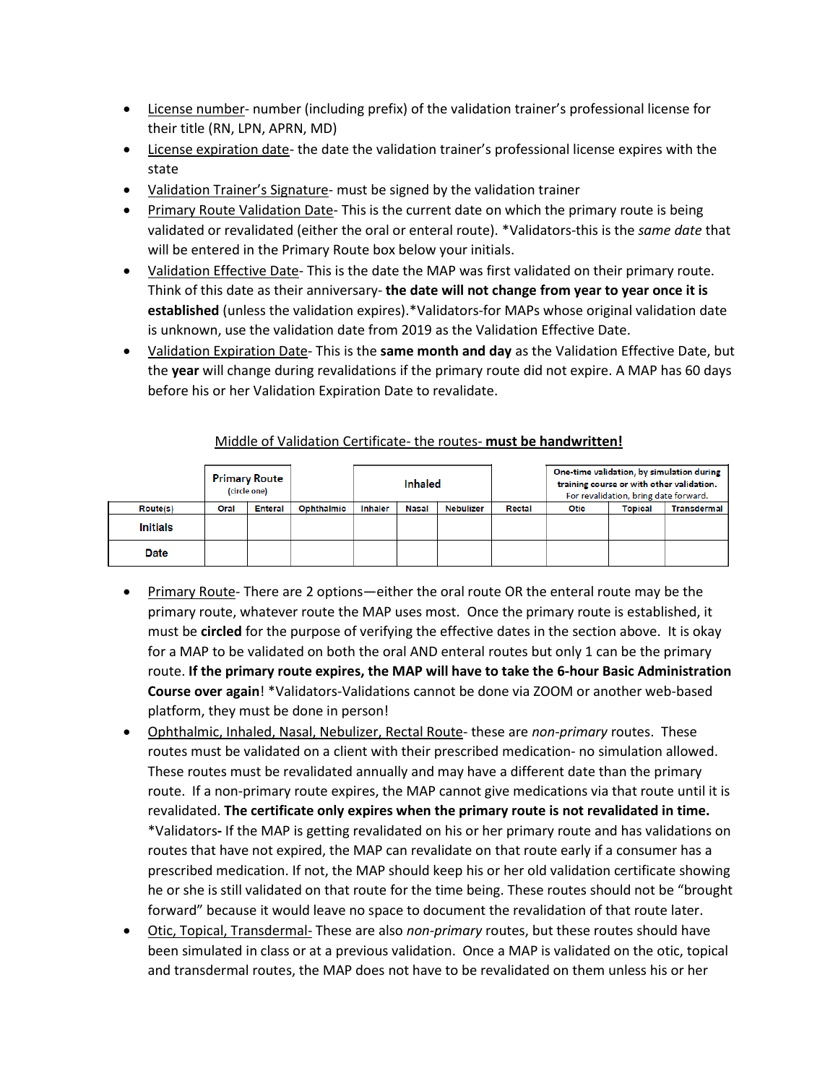- License number- number (including prefix) of the validation trainer's professional license for their title (RN, LPN, APRN, MD)
- License expiration date- the date the validation trainer's professional license expires with the state
- Validation Trainer's Signature- must be signed by the validation trainer
- Primary Route Validation Date- This is the current date on which the primary route is being validated or revalidated (either the oral or enteral route). \*Validators-this is the *same date* that will be entered in the Primary Route box below your initials.
- **Validation Effective Date** This is the date the MAP was first validated on their primary route. Think of this date as their anniversary- **the date will not change from year to year once it is established** (unless the validation expires).\*Validators-for MAPs whose original validation date is unknown, use the validation date from 2019 as the Validation Effective Date.
- Validation Expiration Date- This is the **same month and day** as the Validation Effective Date, but the **year** will change during revalidations if the primary route did not expire. A MAP has 60 days before his or her Validation Expiration Date to revalidate.

|                 |      | <b>Primary Route</b><br>(circle one) |            | Inhaled        |       |           |        | training course or with other validation.<br>For revalidation, bring date forward. | One-time validation, by simulation during |                    |
|-----------------|------|--------------------------------------|------------|----------------|-------|-----------|--------|------------------------------------------------------------------------------------|-------------------------------------------|--------------------|
| Route(s)        | Oral | <b>Enteral</b>                       | Ophthalmic | <b>Inhaler</b> | Nasal | Nebulizer | Rectal | <b>Otic</b>                                                                        | <b>Topical</b>                            | <b>Transdermal</b> |
| <b>Initials</b> |      |                                      |            |                |       |           |        |                                                                                    |                                           |                    |
| <b>Date</b>     |      |                                      |            |                |       |           |        |                                                                                    |                                           |                    |

### Middle of Validation Certificate- the routes- **must be handwritten!**

- Primary Route- There are 2 options—either the oral route OR the enteral route may be the primary route, whatever route the MAP uses most. Once the primary route is established, it must be **circled** for the purpose of verifying the effective dates in the section above. It is okay for a MAP to be validated on both the oral AND enteral routes but only 1 can be the primary route. **If the primary route expires, the MAP will have to take the 6-hour Basic Administration Course over again**! \*Validators-Validations cannot be done via ZOOM or another web-based platform, they must be done in person!
- Ophthalmic, Inhaled, Nasal, Nebulizer, Rectal Route- these are *non-primary* routes. These routes must be validated on a client with their prescribed medication- no simulation allowed. These routes must be revalidated annually and may have a different date than the primary route. If a non-primary route expires, the MAP cannot give medications via that route until it is revalidated. **The certificate only expires when the primary route is not revalidated in time.**  \*Validators**-** If the MAP is getting revalidated on his or her primary route and has validations on routes that have not expired, the MAP can revalidate on that route early if a consumer has a prescribed medication. If not, the MAP should keep his or her old validation certificate showing he or she is still validated on that route for the time being. These routes should not be "brought forward" because it would leave no space to document the revalidation of that route later.
- Otic, Topical, Transdermal- These are also *non-primary* routes, but these routes should have been simulated in class or at a previous validation. Once a MAP is validated on the otic, topical and transdermal routes, the MAP does not have to be revalidated on them unless his or her